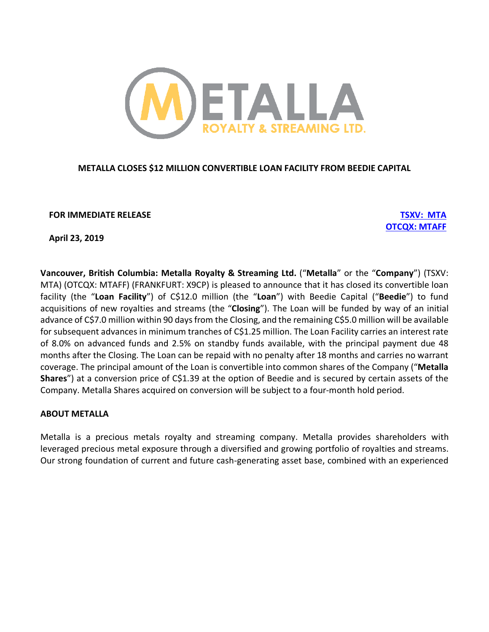

# **METALLA CLOSES \$12 MILLION CONVERTIBLE LOAN FACILITY FROM BEEDIE CAPITAL**

#### **FOR IMMEDIATE RELEASE TSXV: MTA**

**OTCQX: MTAFF**

**April 23, 2019**

**Vancouver, British Columbia: Metalla Royalty & Streaming Ltd.** ("**Metalla**" or the "**Company**") (TSXV: MTA) (OTCQX: MTAFF) (FRANKFURT: X9CP) is pleased to announce that it has closed its convertible loan facility (the "**Loan Facility**") of C\$12.0 million (the "**Loan**") with Beedie Capital ("**Beedie**") to fund acquisitions of new royalties and streams (the "**Closing**"). The Loan will be funded by way of an initial advance of C\$7.0 million within 90 days from the Closing, and the remaining C\$5.0 million will be available for subsequent advances in minimum tranches of C\$1.25 million. The Loan Facility carries an interest rate of 8.0% on advanced funds and 2.5% on standby funds available, with the principal payment due 48 months after the Closing. The Loan can be repaid with no penalty after 18 months and carries no warrant coverage. The principal amount of the Loan is convertible into common shares of the Company ("**Metalla Shares**") at a conversion price of C\$1.39 at the option of Beedie and is secured by certain assets of the Company. Metalla Shares acquired on conversion will be subject to a four-month hold period.

## **ABOUT METALLA**

Metalla is a precious metals royalty and streaming company. Metalla provides shareholders with leveraged precious metal exposure through a diversified and growing portfolio of royalties and streams. Our strong foundation of current and future cash-generating asset base, combined with an experienced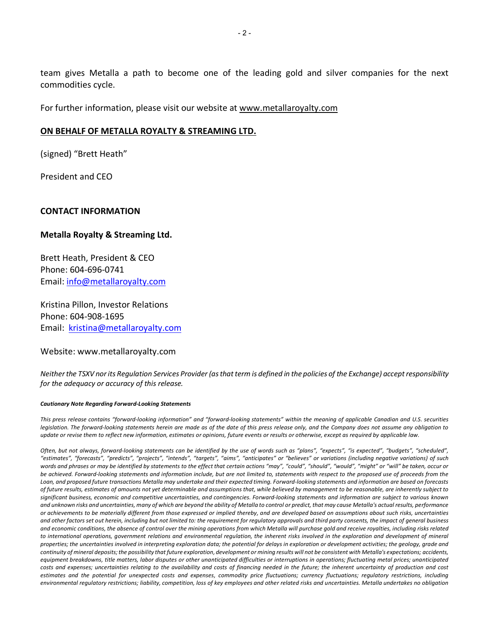team gives Metalla a path to become one of the leading gold and silver companies for the next commodities cycle.

For further information, please visit our website at www.metallaroyalty.com

### **ON BEHALF OF METALLA ROYALTY & STREAMING LTD.**

(signed) "Brett Heath"

President and CEO

#### **CONTACT INFORMATION**

#### **Metalla Royalty & Streaming Ltd.**

Brett Heath, President & CEO Phone: 604-696-0741 Email: info@metallaroyalty.com

Kristina Pillon, Investor Relations Phone: 604-908-1695 Email: kristina@metallaroyalty.com

Website: www.metallaroyalty.com

*Neither the TSXV nor its Regulation Services Provider (as that term is defined in the policies of the Exchange) accept responsibility for the adequacy or accuracy of this release.*

#### *Cautionary Note Regarding Forward-Looking Statements*

*This press release contains "forward-looking information" and "forward-looking statements" within the meaning of applicable Canadian and U.S. securities legislation. The forward-looking statements herein are made as of the date of this press release only, and the Company does not assume any obligation to update or revise them to reflect new information, estimates or opinions, future events or results or otherwise, except as required by applicable law.* 

*Often, but not always, forward-looking statements can be identified by the use of words such as "plans", "expects", "is expected", "budgets", "scheduled", "estimates", "forecasts", "predicts", "projects", "intends", "targets", "aims", "anticipates" or "believes" or variations (including negative variations) of such words and phrases or may be identified by statements to the effect that certain actions "may", "could", "should", "would", "might" or "will" be taken, occur or be achieved. Forward-looking statements and information include, but are not limited to, statements with respect to the proposed use of proceeds from the Loan, and proposed future transactions Metalla may undertake and their expected timing. Forward-looking statements and information are based on forecasts of future results, estimates of amounts not yet determinable and assumptions that, while believed by management to be reasonable, are inherently subject to significant business, economic and competitive uncertainties, and contingencies. Forward-looking statements and information are subject to various known and unknown risks and uncertainties, many of which are beyond the ability of Metalla to control or predict, that may cause Metalla's actual results, performance or achievements to be materially different from those expressed or implied thereby, and are developed based on assumptions about such risks, uncertainties*  and other factors set out herein, including but not limited to: the requirement for regulatory approvals and third party consents, the impact of general business *and economic conditions, the absence of control over the mining operations from which Metalla will purchase gold and receive royalties, including risks related to international operations, government relations and environmental regulation, the inherent risks involved in the exploration and development of mineral properties; the uncertainties involved in interpreting exploration data; the potential for delays in exploration or development activities; the geology, grade and continuity of mineral deposits; the possibility that future exploration, development or mining results will not be consistent with Metalla's expectations; accidents, equipment breakdowns, title matters, labor disputes or other unanticipated difficulties or interruptions in operations; fluctuating metal prices; unanticipated costs and expenses; uncertainties relating to the availability and costs of financing needed in the future; the inherent uncertainty of production and cost estimates and the potential for unexpected costs and expenses, commodity price fluctuations; currency fluctuations; regulatory restrictions, including environmental regulatory restrictions; liability, competition, loss of key employees and other related risks and uncertainties. Metalla undertakes no obligation*